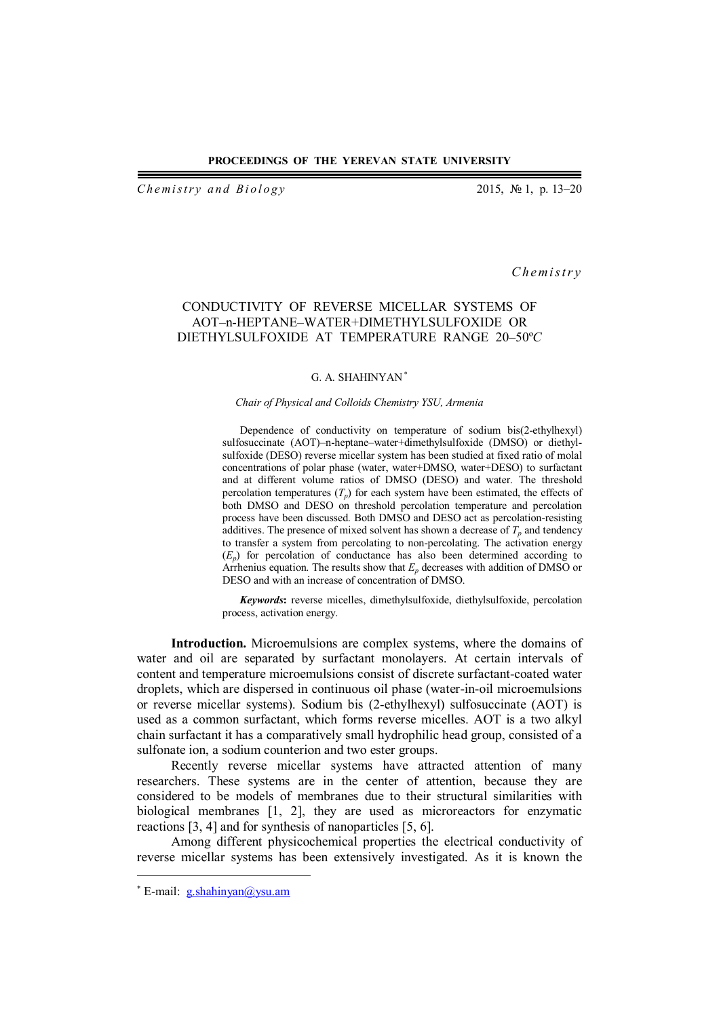*Chemistry and Biology* 2015, № 1, p. 13–20

*C h em i s t r y*

## CONDUCTIVITY OF REVERSE MICELLAR SYSTEMS OF AOT–n-HEPTANE–WATER+DIMETHYLSULFOXIDE OR DIETHYLSULFOXIDE AT TEMPERATURE RANGE 20–50º*C*

### G. A. SHAHINYAN

### *Chair of Physical and Colloids Chemistry YSU, Armenia*

Dependence of conductivity on temperature of sodium bis(2-ethylhexyl) sulfosuccinate (AOT)–n-heptane–water+dimethylsulfoxide (DMSO) or diethylsulfoxide (DESO) reverse micellar system has been studied at fixed ratio of molal concentrations of polar phase (water, water+DMSO, water+DESO) to surfactant and at different volume ratios of DMSO (DESO) and water. The threshold percolation temperatures  $(T_p)$  for each system have been estimated, the effects of both DMSO and DESO on threshold percolation temperature and percolation process have been discussed. Both DMSO and DESO act as percolation-resisting additives. The presence of mixed solvent has shown a decrease of  $T_p$  and tendency to transfer a system from percolating to non-percolating. The activation energy (*Ep*) for percolation of conductance has also been determined according to Arrhenius equation. The results show that  $E_p$  decreases with addition of DMSO or DESO and with an increase of concentration of DMSO.

*Keywords***:** reverse micelles, dimethylsulfoxide, diethylsulfoxide, percolation process, activation energy.

**Introduction.** Microemulsions are complex systems, where the domains of water and oil are separated by surfactant monolayers. At certain intervals of content and temperature microemulsions consist of discrete surfactant-coated water droplets, which are dispersed in continuous oil phase (water-in-oil microemulsions or reverse micellar systems). Sodium bis (2-ethylhexyl) sulfosuccinate (AOT) is used as a common surfactant, which forms reverse micelles. AOT is a two alkyl chain surfactant it has a comparatively small hydrophilic head group, consisted of a sulfonate ion, a sodium counterion and two ester groups.

Recently reverse micellar systems have attracted attention of many researchers. These systems are in the center of attention, because they are considered to be models of membranes due to their structural similarities with biological membranes [1, 2], they are used as microreactors for enzymatic reactions [3, 4] and for synthesis of nanoparticles [5, 6].

Among different physicochemical properties the electrical conductivity of reverse micellar systems has been extensively investigated. As it is known the

 $\overline{a}$ 

<sup>\*</sup> E-mail: g.shahinyan@ysu.am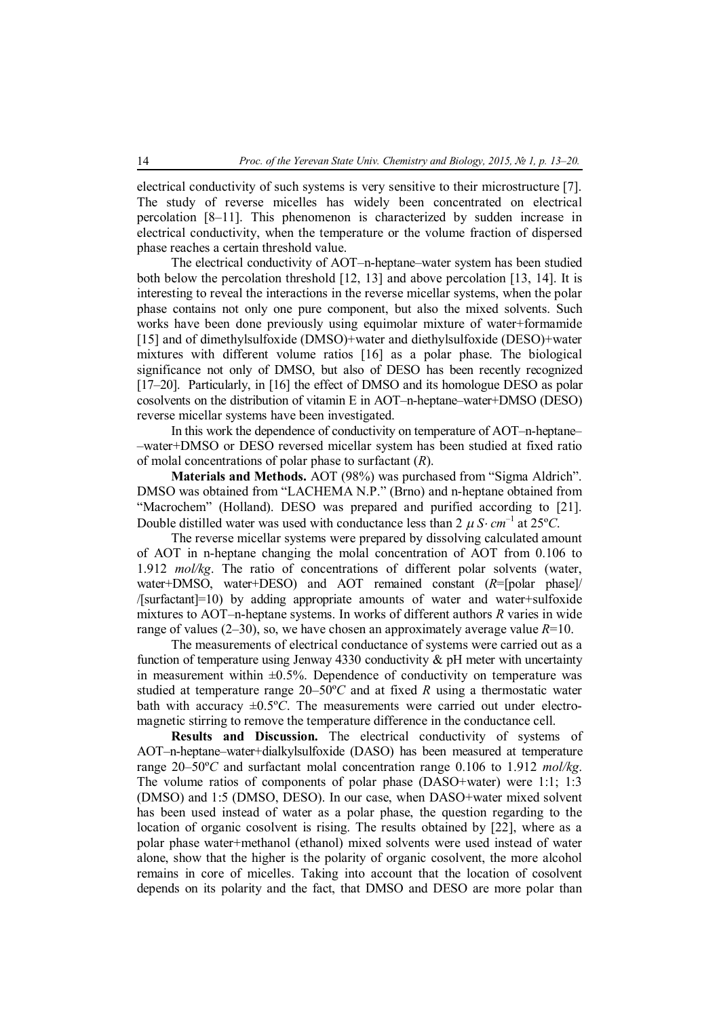electrical conductivity of such systems is very sensitive to their microstructure [7]. The study of reverse micelles has widely been concentrated on electrical percolation [8–11]. This phenomenon is characterized by sudden increase in electrical conductivity, when the temperature or the volume fraction of dispersed phase reaches a certain threshold value.

The electrical conductivity of AOT–n-heptane–water system has been studied both below the percolation threshold [12, 13] and above percolation [13, 14]. It is interesting to reveal the interactions in the reverse micellar systems, when the polar phase contains not only one pure component, but also the mixed solvents. Such works have been done previously using equimolar mixture of water+formamide [15] and of dimethylsulfoxide (DMSO)+water and diethylsulfoxide (DESO)+water mixtures with different volume ratios [16] as a polar phase. The biological significance not only of DMSO, but also of DESO has been recently recognized [17–20]. Particularly, in [16] the effect of DMSO and its homologue DESO as polar cosolvents on the distribution of vitamin E in AOT–n-heptane–water+DMSO (DESO) reverse micellar systems have been investigated.

In this work the dependence of conductivity on temperature of AOT–n-heptane– –water+DMSO or DESO reversed micellar system has been studied at fixed ratio of molal concentrations of polar phase to surfactant (*R*).

**Materials and Methods.** AOT (98%) was purchased from "Sigma Aldrich". DMSO was obtained from "LACHEMA N.P." (Brno) and n-heptane obtained from "Macrochem" (Holland). DESO was prepared and purified according to [21]. Double distilled water was used with conductance less than 2  $\mu$  *S* $\cdot$ *cm*<sup>-1</sup> at 25°*C*.

The reverse micellar systems were prepared by dissolving calculated amount of AOT in n-heptane changing the molal concentration of AOT from 0.106 to 1.912 *mol/kg*. The ratio of concentrations of different polar solvents (water, water+DMSO, water+DESO) and AOT remained constant (*R*=[polar phase]/ /[surfactant]=10) by adding appropriate amounts of water and water+sulfoxide mixtures to AOT–n-heptane systems. In works of different authors *R* varies in wide range of values (2–30), so, we have chosen an approximately average value *R*=10.

The measurements of electrical conductance of systems were carried out as a function of temperature using Jenway 4330 conductivity  $\&$  pH meter with uncertainty in measurement within  $\pm 0.5\%$ . Dependence of conductivity on temperature was studied at temperature range 20–50º*C* and at fixed *R* using a thermostatic water bath with accuracy  $\pm 0.5$ °C. The measurements were carried out under electromagnetic stirring to remove the temperature difference in the conductance cell.

**Results and Discussion.** The electrical conductivity of systems of AOT–n-heptane–water+dialkylsulfoxide (DASO) has been measured at temperature range 20–50º*C* and surfactant molal concentration range 0.106 to 1.912 *mol/kg*. The volume ratios of components of polar phase (DASO+water) were 1:1; 1:3 (DMSO) and 1:5 (DMSO, DESO). In our case, when DASO+water mixed solvent has been used instead of water as a polar phase, the question regarding to the location of organic cosolvent is rising. The results obtained by [22], where as a polar phase water+methanol (ethanol) mixed solvents were used instead of water alone, show that the higher is the polarity of organic cosolvent, the more alcohol remains in core of micelles. Taking into account that the location of cosolvent depends on its polarity and the fact, that DMSO and DESO are more polar than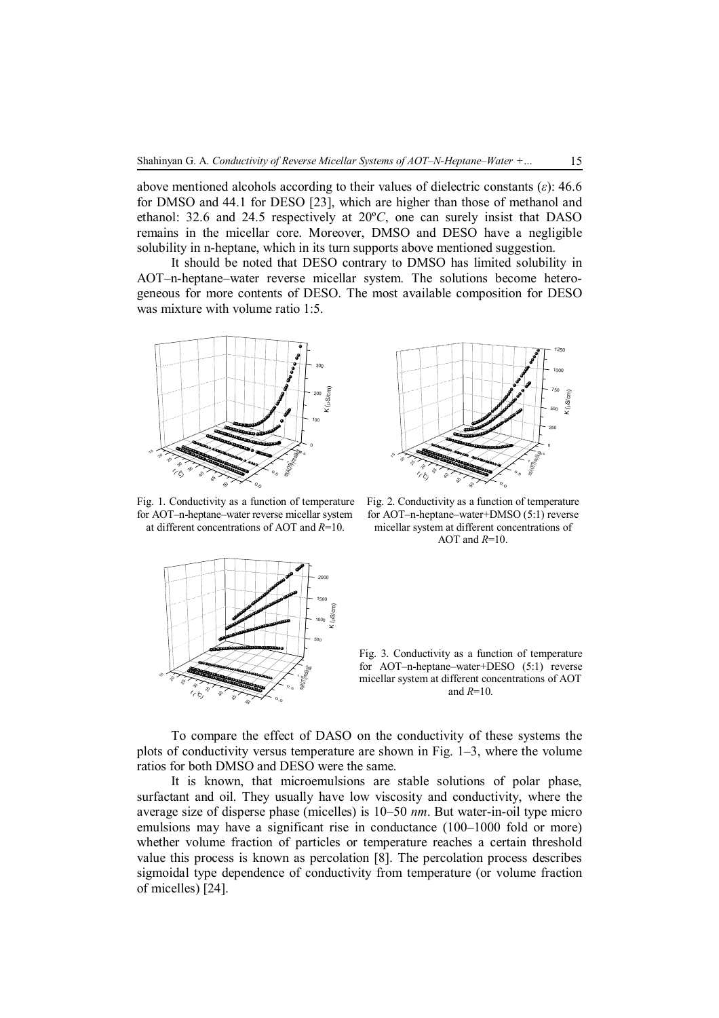above mentioned alcohols according to their values of dielectric constants (*ε*): 46.6 for DMSO and 44.1 for DESO [23], which are higher than those of methanol and ethanol: 32.6 and 24.5 respectively at 20º*C*, one can surely insist that DASO remains in the micellar core. Moreover, DMSO and DESO have a negligible solubility in n-heptane, which in its turn supports above mentioned suggestion.

It should be noted that DESO contrary to DMSO has limited solubility in AOT–n-heptane–water reverse micellar system. The solutions become heterogeneous for more contents of DESO. The most available composition for DESO was mixture with volume ratio 1:5.



Fig. 1. Conductivity as a function of temperature for AOT–n-heptane–water reverse micellar system at different concentrations of AOT and *R*=10.



Fig. 2. Conductivity as a function of temperature for AOT–n-heptane–water+DMSO (5:1) reverse micellar system at different concentrations of AOT and *R*=10.



Fig. 3. Conductivity as a function of temperature for AOT-n-heptane–water+DESO (5:1) reverse micellar system at different concentrations of AOT and *R*=10.

To compare the effect of DASO on the conductivity of these systems the plots of conductivity versus temperature are shown in Fig. 1–3, where the volume ratios for both DMSO and DESO were the same.

It is known, that microemulsions are stable solutions of polar phase, surfactant and oil. They usually have low viscosity and conductivity, where the average size of disperse phase (micelles) is 10–50 *nm*. But water-in-oil type micro emulsions may have a significant rise in conductance (100–1000 fold or more) whether volume fraction of particles or temperature reaches a certain threshold value this process is known as percolation [8]. The percolation process describes sigmoidal type dependence of conductivity from temperature (or volume fraction of micelles) [24].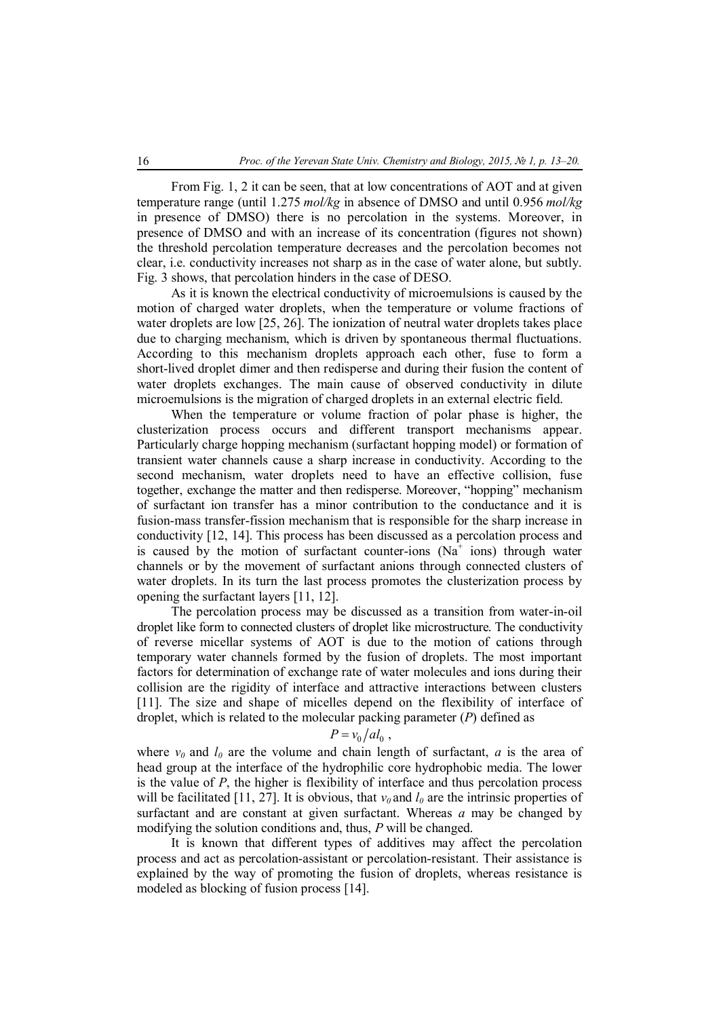From Fig. 1, 2 it can be seen, that at low concentrations of AOT and at given temperature range (until 1.275 *mol/kg* in absence of DMSO and until 0.956 *mol/kg*  in presence of DMSO) there is no percolation in the systems. Moreover, in presence of DMSO and with an increase of its concentration (figures not shown) the threshold percolation temperature decreases and the percolation becomes not clear, i.e. conductivity increases not sharp as in the case of water alone, but subtly. Fig. 3 shows, that percolation hinders in the case of DESO.

As it is known the electrical conductivity of microemulsions is caused by the motion of charged water droplets, when the temperature or volume fractions of water droplets are low [25, 26]. The ionization of neutral water droplets takes place due to charging mechanism, which is driven by spontaneous thermal fluctuations. According to this mechanism droplets approach each other, fuse to form a short-lived droplet dimer and then redisperse and during their fusion the content of water droplets exchanges. The main cause of observed conductivity in dilute microemulsions is the migration of charged droplets in an external electric field.

When the temperature or volume fraction of polar phase is higher, the clusterization process occurs and different transport mechanisms appear. Particularly charge hopping mechanism (surfactant hopping model) or formation of transient water channels cause a sharp increase in conductivity. According to the second mechanism, water droplets need to have an effective collision, fuse together, exchange the matter and then redisperse. Moreover, "hopping" mechanism of surfactant ion transfer has a minor contribution to the conductance and it is fusion-mass transfer-fission mechanism that is responsible for the sharp increase in conductivity [12, 14]. This process has been discussed as a percolation process and is caused by the motion of surfactant counter-ions ( $Na<sup>+</sup>$  ions) through water channels or by the movement of surfactant anions through connected clusters of water droplets. In its turn the last process promotes the clusterization process by opening the surfactant layers [11, 12].

The percolation process may be discussed as a transition from water-in-oil droplet like form to connected clusters of droplet like microstructure. The conductivity of reverse micellar systems of AOT is due to the motion of cations through temporary water channels formed by the fusion of droplets. The most important factors for determination of exchange rate of water molecules and ions during their collision are the rigidity of interface and attractive interactions between clusters [11]. The size and shape of micelles depend on the flexibility of interface of droplet, which is related to the molecular packing parameter (*P*) defined as

# $P = v_0 / a l_0$ ,

where  $v_0$  and  $l_0$  are the volume and chain length of surfactant, *a* is the area of head group at the interface of the hydrophilic core hydrophobic media. The lower is the value of *P*, the higher is flexibility of interface and thus percolation process will be facilitated [11, 27]. It is obvious, that  $v_0$  and  $l_0$  are the intrinsic properties of surfactant and are constant at given surfactant. Whereas *a* may be changed by modifying the solution conditions and, thus, *P* will be changed.

It is known that different types of additives may affect the percolation process and act as percolation-assistant or percolation-resistant. Their assistance is explained by the way of promoting the fusion of droplets, whereas resistance is modeled as blocking of fusion process [14].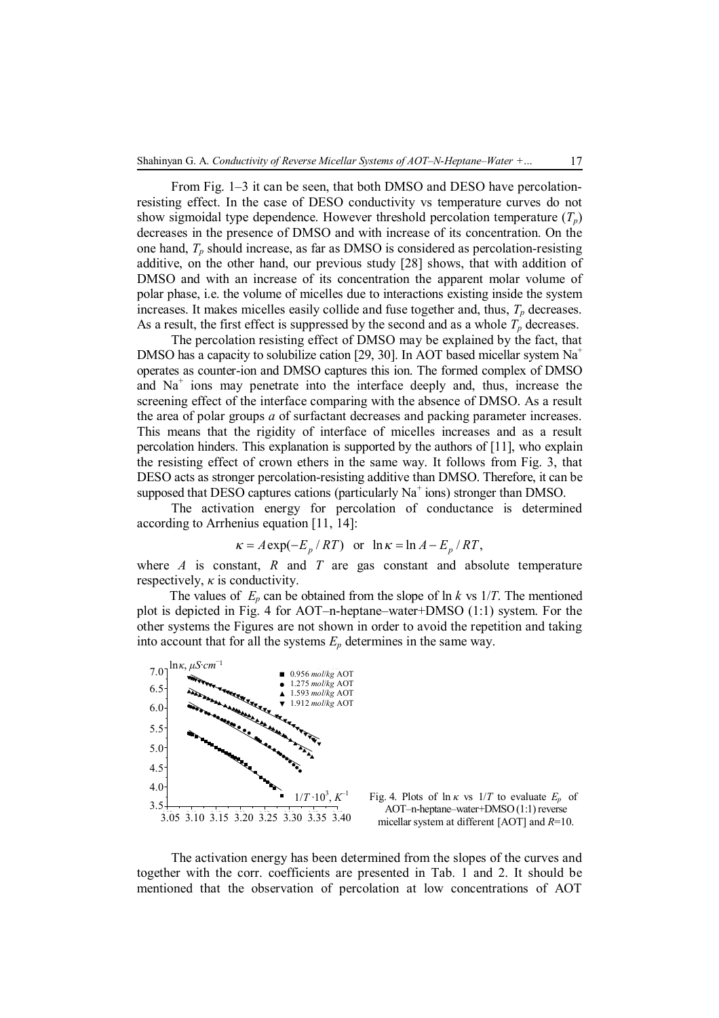From Fig. 1–3 it can be seen, that both DMSO and DESO have percolationresisting effect. In the case of DESO conductivity vs temperature curves do not show sigmoidal type dependence. However threshold percolation temperature  $(T_p)$ decreases in the presence of DMSO and with increase of its concentration. On the one hand, *Tp* should increase, as far as DMSO is considered as percolation-resisting additive, on the other hand, our previous study [28] shows, that with addition of DMSO and with an increase of its concentration the apparent molar volume of polar phase, i.e. the volume of micelles due to interactions existing inside the system increases. It makes micelles easily collide and fuse together and, thus, *Tp* decreases. As a result, the first effect is suppressed by the second and as a whole  $T_p$  decreases.

The percolation resisting effect of DMSO may be explained by the fact, that DMSO has a capacity to solubilize cation [29, 30]. In AOT based micellar system Na<sup>+</sup> operates as counter-ion and DMSO captures this ion. The formed complex of DMSO and Na<sup>+</sup> ions may penetrate into the interface deeply and, thus, increase the screening effect of the interface comparing with the absence of DMSO. As a result the area of polar groups *a* of surfactant decreases and packing parameter increases. This means that the rigidity of interface of micelles increases and as a result percolation hinders. This explanation is supported by the authors of [11], who explain the resisting effect of crown ethers in the same way. It follows from Fig. 3, that DESO acts as stronger percolation-resisting additive than DMSO. Therefore, it can be supposed that DESO captures cations (particularly  $\mathrm{Na}^+$  ions) stronger than DMSO.

The activation energy for percolation of conductance is determined according to Arrhenius equation [11, 14]:

$$
\kappa = A \exp(-E_p / RT) \quad \text{or} \quad \ln \kappa = \ln A - E_p / RT,
$$

where *A* is constant, *R* and *T* are gas constant and absolute temperature respectively,  $\kappa$  is conductivity.

The values of  $E_p$  can be obtained from the slope of  $\ln k$  vs  $1/T$ . The mentioned plot is depicted in Fig. 4 for AOT–n-heptane–water+DMSO (1:1) system. For the other systems the Figures are not shown in order to avoid the repetition and taking into account that for all the systems  $E_p$  determines in the same way.



Fig. 4. Plots of  $\ln \kappa$  vs  $1/T$  to evaluate  $E_p$  of AOT–n-heptane–water+DMSO (1:1) reverse micellar system at different [AOT] and *R*=10.

The activation energy has been determined from the slopes of the curves and together with the corr. coefficients are presented in Tab. 1 and 2. It should be mentioned that the observation of percolation at low concentrations of AOT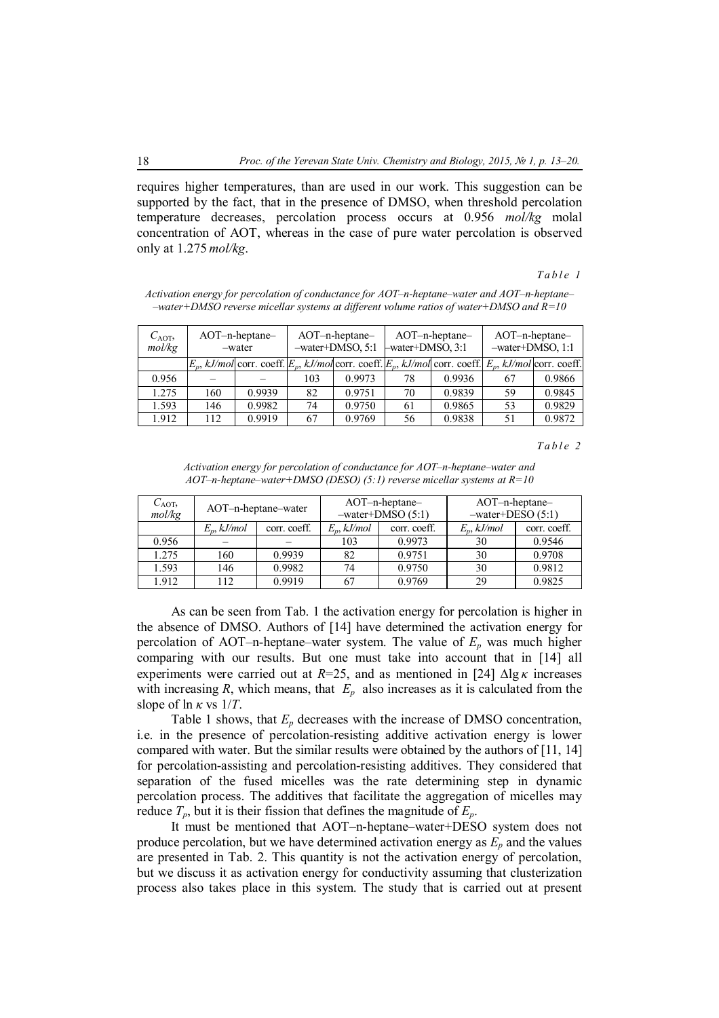requires higher temperatures, than are used in our work. This suggestion can be supported by the fact, that in the presence of DMSO, when threshold percolation temperature decreases, percolation process occurs at 0.956 *mol/kg* molal concentration of AOT, whereas in the case of pure water percolation is observed only at 1.275 *mol/kg*.

#### *T a b l e 1*

| $C_{\text{AOT}}$<br>mol/kg | $AOT-n-heptane-$<br>-water |                                                                                                                 | $AOT-n-heptane-$<br>-water+DMSO, 5:1 |        | AOT-n-heptane-<br>-water+DMSO, 3:1 |        | $AOT-n-heptane-$<br>-water+DMSO, 1:1 |        |
|----------------------------|----------------------------|-----------------------------------------------------------------------------------------------------------------|--------------------------------------|--------|------------------------------------|--------|--------------------------------------|--------|
|                            |                            | $E_p$ , kJ/mol corr. coeff. $E_p$ , kJ/mol corr. coeff. $E_p$ , kJ/mol corr. coeff. $E_p$ , kJ/mol corr. coeff. |                                      |        |                                    |        |                                      |        |
| 0.956                      |                            |                                                                                                                 | 103                                  | 0.9973 | 78                                 | 0.9936 | 67                                   | 0.9866 |
| 1.275                      | 160                        | 0.9939                                                                                                          | 82                                   | 0.9751 | 70                                 | 0.9839 | 59                                   | 0.9845 |
| 1.593                      | 146                        | 0.9982                                                                                                          | 74                                   | 0.9750 | 61                                 | 0.9865 | 53                                   | 0.9829 |
| 1.912                      | 112                        | 0.9919                                                                                                          | 67                                   | 0.9769 | 56                                 | 0.9838 | 51                                   | 0.9872 |

*Activation energy for percolation of conductance for AOT–n-heptane–water and AOT–n-heptane– –water+DMSO reverse micellar systems at different volume ratios of water+DMSO and R=10*

*T a b l e 2*

| $C_{\text{AOT}}$ |               | AOT-n-heptane-water |               | $AOT-n-heptane-$   | $AOT-n-heptane-$   |              |  |
|------------------|---------------|---------------------|---------------|--------------------|--------------------|--------------|--|
| mol/kg           |               |                     |               | $-water+DMSO(5:1)$ | $-water+DESO(5:1)$ |              |  |
|                  | $E_n, kJ/mol$ | corr. coeff.        | $E_p, kJ/mol$ | corr. coeff.       | $E_n, kJ/mol$      | corr. coeff. |  |
| 0.956            |               |                     | 103           | 0.9973             | 30                 | 0.9546       |  |
| 1.275            | 160           | 0.9939              | 82            | 0.9751             | 30                 | 0.9708       |  |
| 1.593            | 146           | 0.9982              | 74            | 0.9750             | 30                 | 0.9812       |  |
| 1.912            | 112           | 0.9919              | 67            | 0.9769             | 29                 | 0.9825       |  |

*Activation energy for percolation of conductance for AOT–n-heptane–water and AOT–n-heptane–water+DMSO (DESO) (5:1) reverse micellar systems at R=10*

As can be seen from Tab. 1 the activation energy for percolation is higher in the absence of DMSO. Authors of [14] have determined the activation energy for percolation of AOT–n-heptane–water system. The value of  $E_p$  was much higher comparing with our results. But one must take into account that in [14] all experiments were carried out at  $R=25$ , and as mentioned in [24]  $\Delta$ lg  $\kappa$  increases with increasing  $R$ , which means, that  $E_p$  also increases as it is calculated from the slope of ln *κ* vs 1/*T*.

Table 1 shows, that  $E_p$  decreases with the increase of DMSO concentration, i.e. in the presence of percolation-resisting additive activation energy is lower compared with water. But the similar results were obtained by the authors of [11, 14] for percolation-assisting and percolation-resisting additives. They considered that separation of the fused micelles was the rate determining step in dynamic percolation process. The additives that facilitate the aggregation of micelles may reduce  $T_p$ , but it is their fission that defines the magnitude of  $E_p$ .

It must be mentioned that AOT–n-heptane–water+DESO system does not produce percolation, but we have determined activation energy as  $E_p$  and the values are presented in Tab. 2. This quantity is not the activation energy of percolation, but we discuss it as activation energy for conductivity assuming that clusterization process also takes place in this system. The study that is carried out at present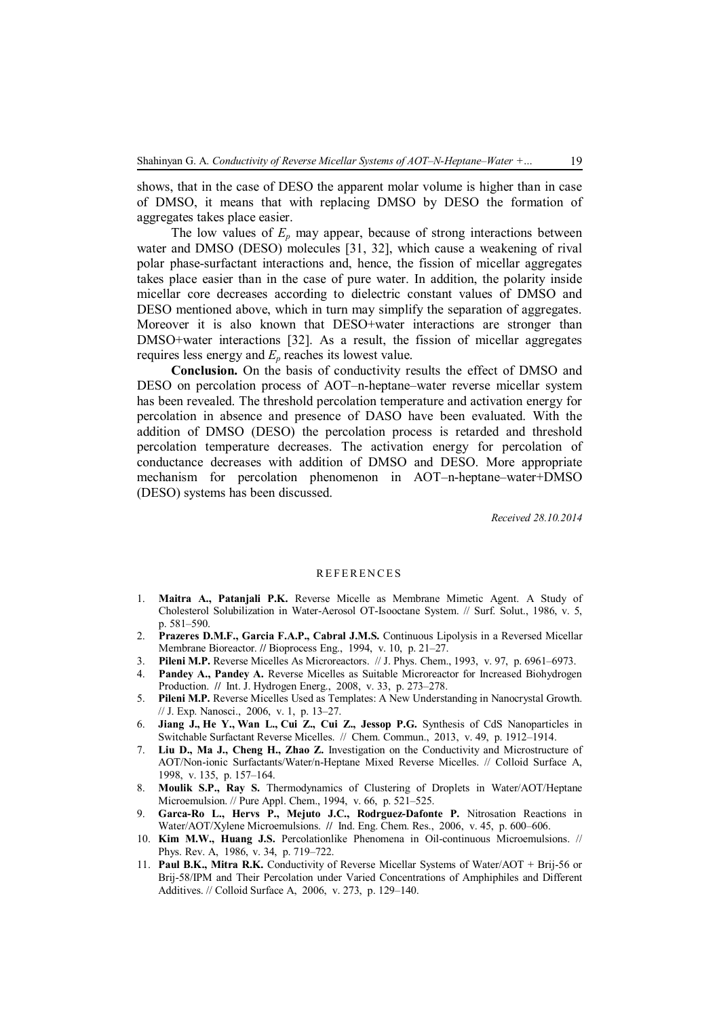shows, that in the case of DESO the apparent molar volume is higher than in case of DMSO, it means that with replacing DMSO by DESO the formation of aggregates takes place easier.

The low values of  $E_p$  may appear, because of strong interactions between water and DMSO (DESO) molecules [31, 32], which cause a weakening of rival polar phase-surfactant interactions and, hence, the fission of micellar aggregates takes place easier than in the case of pure water. In addition, the polarity inside micellar core decreases according to dielectric constant values of DMSO and DESO mentioned above, which in turn may simplify the separation of aggregates. Moreover it is also known that DESO+water interactions are stronger than DMSO+water interactions [32]. As a result, the fission of micellar aggregates requires less energy and *Ep* reaches its lowest value.

**Conclusion.** On the basis of conductivity results the effect of DMSO and DESO on percolation process of AOT–n-heptane–water reverse micellar system has been revealed. The threshold percolation temperature and activation energy for percolation in absence and presence of DASO have been evaluated. With the addition of DMSO (DESO) the percolation process is retarded and threshold percolation temperature decreases. The activation energy for percolation of conductance decreases with addition of DMSO and DESO. More appropriate mechanism for percolation phenomenon in AOT–n-heptane–water+DMSO (DESO) systems has been discussed.

*Received 28.10.2014*

### **REFERENCES**

- 1. **Maitra A., Patanjali P.K.** Reverse Micelle as Membrane Mimetic Agent. A Study of Cholesterol Solubilization in Water-Aerosol OT-Isooctane System. // Surf. Solut., 1986, v. 5, p. 581–590.
- 2. **Prazeres D.M.F., Garcia F.A.P., Cabral J.M.S.** Continuous Lipolysis in a Reversed Micellar Membrane Bioreactor. **//** Bioprocess Eng., 1994, v. 10, p. 21–27.
- 3. **Pileni M.P.** Reverse Micelles As Microreactors. // J. Phys. Chem., 1993, v. 97, p. 6961–6973.
- 4. **Pandey A., Pandey A.** Reverse Micelles as Suitable Microreactor for Increased Biohydrogen Production. **//** Int. J. Hydrogen Energ., 2008, v. 33, p. 273–278.
- 5. **Pileni M.P.** Reverse Micelles Used as Templates: A New Understanding in Nanocrystal Growth. // J. Exp. Nanosci., 2006, v. 1, p. 13–27.
- 6. **Jiang J., He Y., Wan L., Cui Z., Cui Z., Jessop P.G.** Synthesis of CdS Nanoparticles in Switchable Surfactant Reverse Micelles. // Chem. Commun., 2013, v. 49, p. 1912–1914.
- 7. **Liu D., Ma J., Cheng H., Zhao Z.** Investigation on the Conductivity and Microstructure of AOT/Non-ionic Surfactants/Water/n-Heptane Mixed Reverse Micelles. // Colloid Surface A, 1998, v. 135, p. 157–164.
- 8. **Moulik S.P., Ray S.** Thermodynamics of Clustering of Droplets in Water/AOT/Heptane Microemulsion. // Pure Appl. Chem., 1994, v. 66, p. 521–525.
- 9. **Garca-Ro L., Hervs P., Mejuto J.C., Rodrguez-Dafonte P.** Nitrosation Reactions in Water/AOT/Xylene Microemulsions. **//** Ind. Eng. Chem. Res., 2006, v. 45, p. 600–606.
- 10. **Kim M.W., Huang J.S.** Percolationlike Phenomena in Oil-continuous Microemulsions. // Phys. Rev. A, 1986, v. 34, p. 719–722.
- 11. **Paul B.K., Mitra R.K.** Conductivity of Reverse Micellar Systems of Water/AOT + Brij-56 or Brij-58/IPM and Their Percolation under Varied Concentrations of Amphiphiles and Different Additives. // Colloid Surface A, 2006, v. 273, p. 129–140.